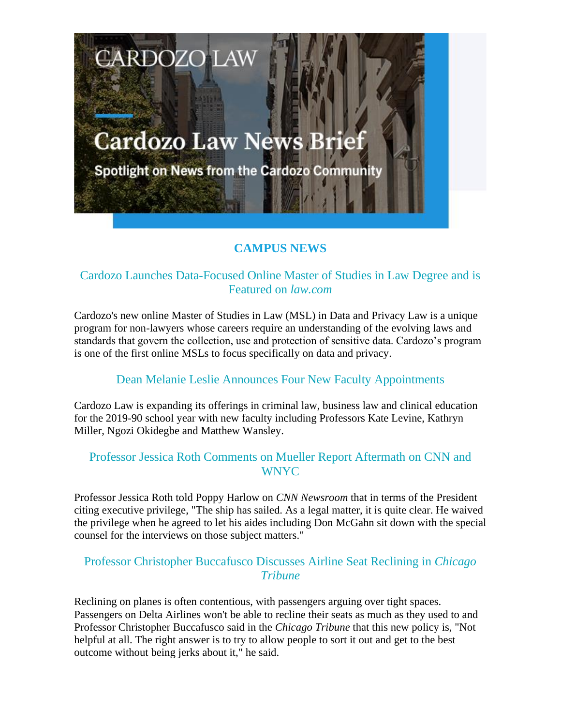# **Cardozo Law News Brief**

**CARDOZO LAW** 

Spotlight on News from the Cardozo Community

# **CAMPUS NEWS**

## Cardozo Launches Data-Focused Online Master of Studies in Law Degree and is Featured on *law.com*

Cardozo's new online Master of Studies in Law (MSL) in Data and Privacy Law is a unique program for non-lawyers whose careers require an understanding of the evolving laws and standards that govern the collection, use and protection of sensitive data. Cardozo's program is one of the first online MSLs to focus specifically on data and privacy.

#### Dean Melanie Leslie Announces Four New Faculty Appointments

Cardozo Law is expanding its offerings in criminal law, business law and clinical education for the 2019-90 school year with new faculty including Professors Kate Levine, Kathryn Miller, Ngozi Okidegbe and Matthew Wansley.

#### Professor Jessica Roth Comments on Mueller Report Aftermath on CNN and WNYC

Professor Jessica Roth told Poppy Harlow on *CNN Newsroom* that in terms of the President citing executive privilege, "The ship has sailed. As a legal matter, it is quite clear. He waived the privilege when he agreed to let his aides including Don McGahn sit down with the special counsel for the interviews on those subject matters."

#### Professor Christopher Buccafusco Discusses Airline Seat Reclining in *Chicago Tribune*

Reclining on planes is often contentious, with passengers arguing over tight spaces. Passengers on Delta Airlines won't be able to recline their seats as much as they used to and Professor Christopher Buccafusco said in the *Chicago Tribune* that this new policy is, "Not helpful at all. The right answer is to try to allow people to sort it out and get to the best outcome without being jerks about it," he said.